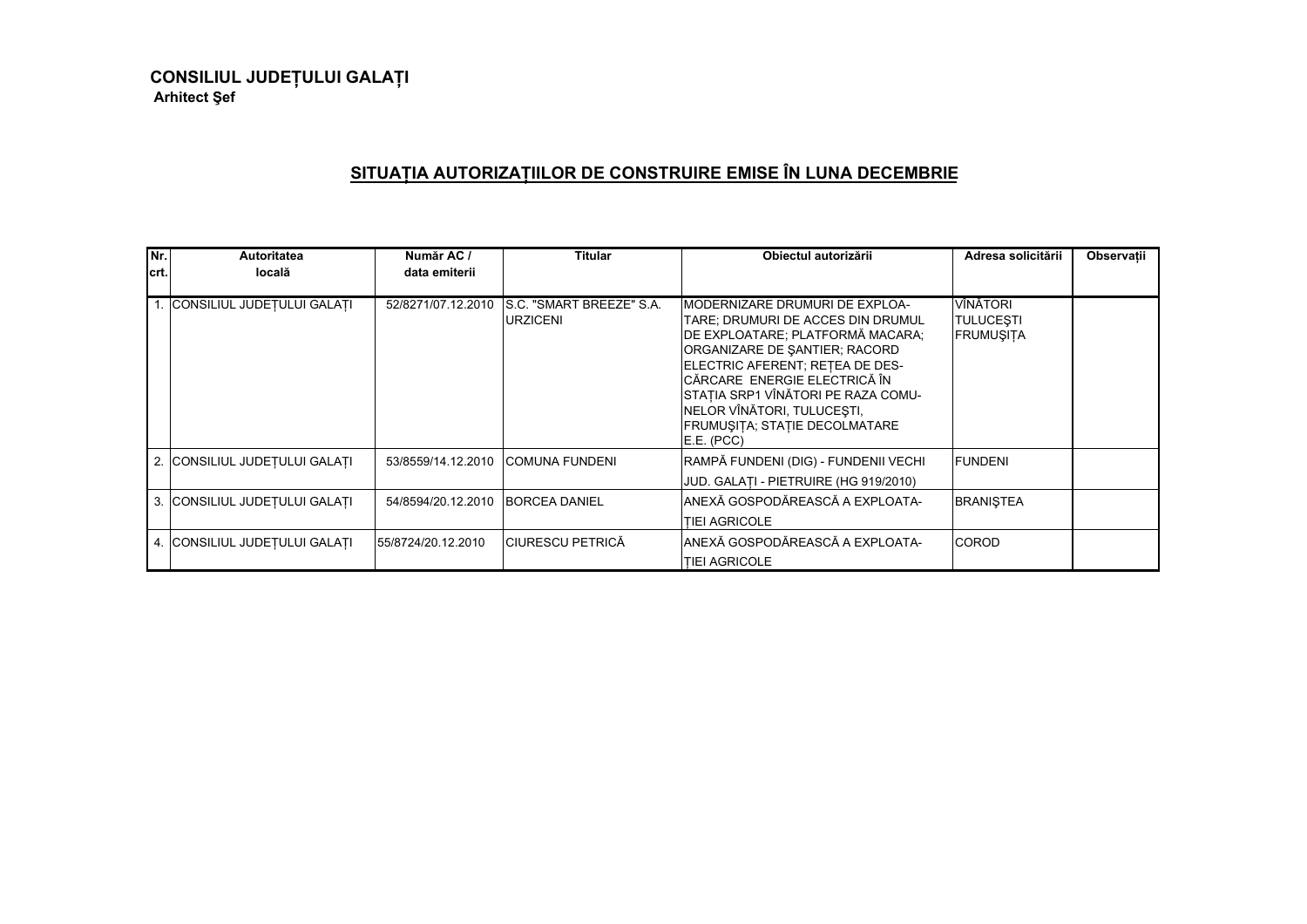**CONSILIUL JUDE ULUI GALA <sup>I</sup> Arhitect ef**

## **SITUA IA AUTORIZA IILOR DE CONSTRUIRE EMISE ÎN LUNA DECEMBRIE**

| Nr.    | Autoritatea                   | Număr AC /         | <b>Titular</b>                               | Obiectul autorizării                                                                                                                                                                                                                                                                                                            | Adresa solicitării                        | Observații |
|--------|-------------------------------|--------------------|----------------------------------------------|---------------------------------------------------------------------------------------------------------------------------------------------------------------------------------------------------------------------------------------------------------------------------------------------------------------------------------|-------------------------------------------|------------|
| lcrt.l | locală                        | data emiterii      |                                              |                                                                                                                                                                                                                                                                                                                                 |                                           |            |
|        | 1. CONSILIUL JUDETULUI GALATI | 52/8271/07.12.2010 | IS.C. "SMART BREEZE" S.A.<br><b>URZICENI</b> | IMODERNIZARE DRUMURI DE EXPLOA-<br>TARE; DRUMURI DE ACCES DIN DRUMUL<br>DE EXPLOATARE; PLATFORMĂ MACARA;<br>ORGANIZARE DE SANTIER; RACORD<br>ELECTRIC AFERENT; RETEA DE DES-<br>CĂRCARE ENERGIE ELECTRICĂ ÎN<br>STAȚIA SRP1 VÎNĂTORI PE RAZA COMU-<br>NELOR VÎNĂTORI, TULUCEȘTI,<br>FRUMUȘITA; STAȚIE DECOLMATARE<br>E.E. (PCC) | VÎNĂTORI<br>TULUCESTI<br><b>FRUMUSITA</b> |            |
|        | 2. CONSILIUL JUDEȚULUI GALAȚI | 53/8559/14.12.2010 | <b>COMUNA FUNDENI</b>                        | RAMPĂ FUNDENI (DIG) - FUNDENII VECHI<br>JUD. GALATI - PIETRUIRE (HG 919/2010)                                                                                                                                                                                                                                                   | <b>IFUNDENI</b>                           |            |
|        | 3. CONSILIUL JUDETULUI GALATI | 54/8594/20.12.2010 | <b>BORCEA DANIEL</b>                         | IANEXĂ GOSPODĂREASCĂ A EXPLOATA-<br>TIEI AGRICOLE                                                                                                                                                                                                                                                                               | <b>BRANISTEA</b>                          |            |
|        | 4. CONSILIUL JUDEȚULUI GALAȚI | 55/8724/20.12.2010 | <b>CIURESCU PETRICĂ</b>                      | ANEXĂ GOSPODĂREASCĂ A EXPLOATA-<br><b>TIEI AGRICOLE</b>                                                                                                                                                                                                                                                                         | <b>COROD</b>                              |            |